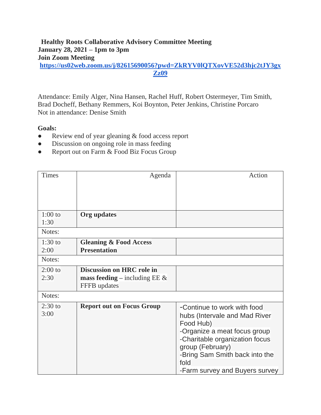### **Healthy Roots Collaborative Advisory Committee Meeting January 28, 2021 – 1pm to 3pm Join Zoom Meeting [https://us02web.zoom.us/j/82615690056?pwd=ZkRYV0lQTXovVE52d3hjc2tJY3gx](https://us02web.zoom.us/j/82615690056?pwd=ZkRYV0lQTXovVE52d3hjc2tJY3gxZz09) [Zz09](https://us02web.zoom.us/j/82615690056?pwd=ZkRYV0lQTXovVE52d3hjc2tJY3gxZz09)**

Attendance: Emily Alger, Nina Hansen, Rachel Huff, Robert Ostermeyer, Tim Smith, Brad Docheff, Bethany Remmers, Koi Boynton, Peter Jenkins, Christine Porcaro Not in attendance: Denise Smith

#### **Goals:**

- Review end of year gleaning & food access report
- Discussion on ongoing role in mass feeding
- Report out on Farm & Food Biz Focus Group

| <b>Times</b>      | Agenda                                                                        | Action                                                                                                    |
|-------------------|-------------------------------------------------------------------------------|-----------------------------------------------------------------------------------------------------------|
|                   |                                                                               |                                                                                                           |
| $1:00$ to<br>1:30 | Org updates                                                                   |                                                                                                           |
| Notes:            |                                                                               |                                                                                                           |
| $1:30$ to<br>2:00 | <b>Gleaning &amp; Food Access</b><br><b>Presentation</b>                      |                                                                                                           |
| Notes:            |                                                                               |                                                                                                           |
| $2:00$ to<br>2:30 | Discussion on HRC role in<br>mass feeding – including EE $\&$<br>FFFB updates |                                                                                                           |
| Notes:            |                                                                               |                                                                                                           |
| $2:30$ to<br>3:00 | <b>Report out on Focus Group</b>                                              | -Continue to work with food<br>hubs (Intervale and Mad River<br>Food Hub)<br>-Organize a meat focus group |
|                   |                                                                               | -Charitable organization focus<br>group (February)<br>-Bring Sam Smith back into the<br>fold              |
|                   |                                                                               | -Farm survey and Buyers survey                                                                            |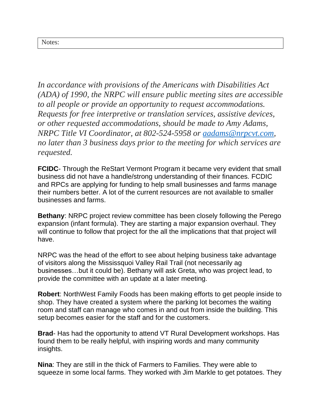*In accordance with provisions of the Americans with Disabilities Act (ADA) of 1990, the NRPC will ensure public meeting sites are accessible to all people or provide an opportunity to request accommodations. Requests for free interpretive or translation services, assistive devices, or other requested accommodations, should be made to Amy Adams, NRPC Title VI Coordinator, at 802-524-5958 or [aadams@nrpcvt.com,](mailto:aadams@nrpcvt.com) no later than 3 business days prior to the meeting for which services are requested.*

**FCIDC**- Through the ReStart Vermont Program it became very evident that small business did not have a handle/strong understanding of their finances. FCDIC and RPCs are applying for funding to help small businesses and farms manage their numbers better. A lot of the current resources are not available to smaller businesses and farms.

**Bethany**: NRPC project review committee has been closely following the Perego expansion (infant formula). They are starting a major expansion overhaul. They will continue to follow that project for the all the implications that that project will have.

NRPC was the head of the effort to see about helping business take advantage of visitors along the Mississquoi Valley Rail Trail (not necessarily ag businesses…but it could be). Bethany will ask Greta, who was project lead, to provide the committee with an update at a later meeting.

**Robert**: NorthWest Family Foods has been making efforts to get people inside to shop. They have created a system where the parking lot becomes the waiting room and staff can manage who comes in and out from inside the building. This setup becomes easier for the staff and for the customers.

**Brad**- Has had the opportunity to attend VT Rural Development workshops. Has found them to be really helpful, with inspiring words and many community insights.

**Nina**: They are still in the thick of Farmers to Families. They were able to squeeze in some local farms. They worked with Jim Markle to get potatoes. They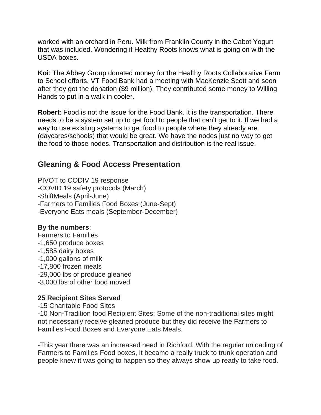worked with an orchard in Peru. Milk from Franklin County in the Cabot Yogurt that was included. Wondering if Healthy Roots knows what is going on with the USDA boxes.

**Koi**: The Abbey Group donated money for the Healthy Roots Collaborative Farm to School efforts. VT Food Bank had a meeting with MacKenzie Scott and soon after they got the donation (\$9 million). They contributed some money to Willing Hands to put in a walk in cooler.

**Robert**: Food is not the issue for the Food Bank. It is the transportation. There needs to be a system set up to get food to people that can't get to it. If we had a way to use existing systems to get food to people where they already are (daycares/schools) that would be great. We have the nodes just no way to get the food to those nodes. Transportation and distribution is the real issue.

# **Gleaning & Food Access Presentation**

PIVOT to CODIV 19 response -COVID 19 safety protocols (March) -ShiftMeals (April-June) -Farmers to Families Food Boxes (June-Sept) -Everyone Eats meals (September-December)

## **By the numbers**:

Farmers to Families -1,650 produce boxes -1,585 dairy boxes -1,000 gallons of milk -17,800 frozen meals -29,000 lbs of produce gleaned -3,000 lbs of other food moved

## **25 Recipient Sites Served**

-15 Charitable Food Sites

-10 Non-Tradition food Recipient Sites: Some of the non-traditional sites might not necessarily receive gleaned produce but they did receive the Farmers to Families Food Boxes and Everyone Eats Meals.

-This year there was an increased need in Richford. With the regular unloading of Farmers to Families Food boxes, it became a really truck to trunk operation and people knew it was going to happen so they always show up ready to take food.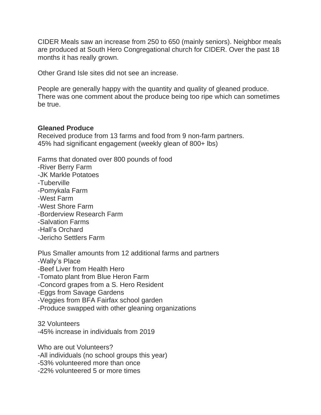CIDER Meals saw an increase from 250 to 650 (mainly seniors). Neighbor meals are produced at South Hero Congregational church for CIDER. Over the past 18 months it has really grown.

Other Grand Isle sites did not see an increase.

People are generally happy with the quantity and quality of gleaned produce. There was one comment about the produce being too ripe which can sometimes be true.

#### **Gleaned Produce**

Received produce from 13 farms and food from 9 non-farm partners. 45% had significant engagement (weekly glean of 800+ lbs)

Farms that donated over 800 pounds of food

-River Berry Farm -JK Markle Potatoes -Tuberville -Pomykala Farm -West Farm -West Shore Farm -Borderview Research Farm -Salvation Farms -Hall's Orchard -Jericho Settlers Farm

Plus Smaller amounts from 12 additional farms and partners -Wally's Place -Beef Liver from Health Hero -Tomato plant from Blue Heron Farm -Concord grapes from a S. Hero Resident -Eggs from Savage Gardens -Veggies from BFA Fairfax school garden -Produce swapped with other gleaning organizations

32 Volunteers -45% increase in individuals from 2019

Who are out Volunteers? -All individuals (no school groups this year) -53% volunteered more than once -22% volunteered 5 or more times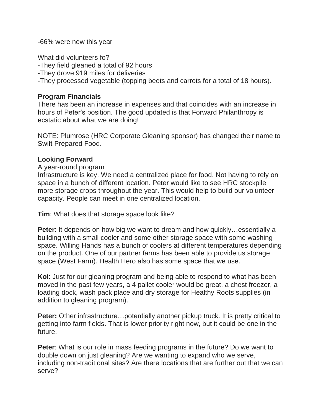-66% were new this year

What did volunteers fo? -They field gleaned a total of 92 hours -They drove 919 miles for deliveries -They processed vegetable (topping beets and carrots for a total of 18 hours).

## **Program Financials**

There has been an increase in expenses and that coincides with an increase in hours of Peter's position. The good updated is that Forward Philanthropy is ecstatic about what we are doing!

NOTE: Plumrose (HRC Corporate Gleaning sponsor) has changed their name to Swift Prepared Food.

## **Looking Forward**

A year-round program

Infrastructure is key. We need a centralized place for food. Not having to rely on space in a bunch of different location. Peter would like to see HRC stockpile more storage crops throughout the year. This would help to build our volunteer capacity. People can meet in one centralized location.

**Tim**: What does that storage space look like?

**Peter**: It depends on how big we want to dream and how quickly…essentially a building with a small cooler and some other storage space with some washing space. Willing Hands has a bunch of coolers at different temperatures depending on the product. One of our partner farms has been able to provide us storage space (West Farm). Health Hero also has some space that we use.

**Koi**: Just for our gleaning program and being able to respond to what has been moved in the past few years, a 4 pallet cooler would be great, a chest freezer, a loading dock, wash pack place and dry storage for Healthy Roots supplies (in addition to gleaning program).

**Peter:** Other infrastructure…potentially another pickup truck. It is pretty critical to getting into farm fields. That is lower priority right now, but it could be one in the future.

**Peter**: What is our role in mass feeding programs in the future? Do we want to double down on just gleaning? Are we wanting to expand who we serve, including non-traditional sites? Are there locations that are further out that we can serve?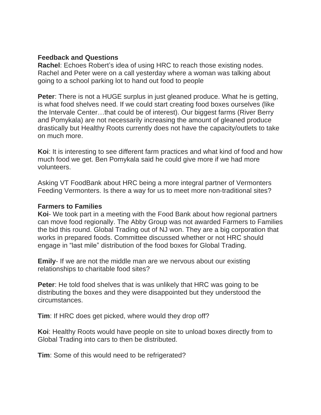### **Feedback and Questions**

**Rachel**: Echoes Robert's idea of using HRC to reach those existing nodes. Rachel and Peter were on a call yesterday where a woman was talking about going to a school parking lot to hand out food to people

**Peter**: There is not a HUGE surplus in just gleaned produce. What he is getting, is what food shelves need. If we could start creating food boxes ourselves (like the Intervale Center…that could be of interest). Our biggest farms (River Berry and Pomykala) are not necessarily increasing the amount of gleaned produce drastically but Healthy Roots currently does not have the capacity/outlets to take on much more.

**Koi**: It is interesting to see different farm practices and what kind of food and how much food we get. Ben Pomykala said he could give more if we had more volunteers.

Asking VT FoodBank about HRC being a more integral partner of Vermonters Feeding Vermonters. Is there a way for us to meet more non-traditional sites?

### **Farmers to Families**

**Koi**- We took part in a meeting with the Food Bank about how regional partners can move food regionally. The Abby Group was not awarded Farmers to Families the bid this round. Global Trading out of NJ won. They are a big corporation that works in prepared foods. Committee discussed whether or not HRC should engage in "last mile" distribution of the food boxes for Global Trading.

**Emily**- If we are not the middle man are we nervous about our existing relationships to charitable food sites?

**Peter**: He told food shelves that is was unlikely that HRC was going to be distributing the boxes and they were disappointed but they understood the circumstances.

**Tim**: If HRC does get picked, where would they drop off?

**Koi**: Healthy Roots would have people on site to unload boxes directly from to Global Trading into cars to then be distributed.

**Tim**: Some of this would need to be refrigerated?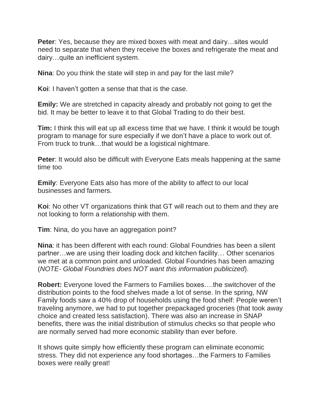**Peter**: Yes, because they are mixed boxes with meat and dairy…sites would need to separate that when they receive the boxes and refrigerate the meat and dairy…quite an inefficient system.

**Nina**: Do you think the state will step in and pay for the last mile?

**Koi**: I haven't gotten a sense that that is the case.

**Emily:** We are stretched in capacity already and probably not going to get the bid. It may be better to leave it to that Global Trading to do their best.

**Tim:** I think this will eat up all excess time that we have. I think it would be tough program to manage for sure especially if we don't have a place to work out of. From truck to trunk…that would be a logistical nightmare.

**Peter:** It would also be difficult with Everyone Eats meals happening at the same time too

**Emily**: Everyone Eats also has more of the ability to affect to our local businesses and farmers.

**Koi**: No other VT organizations think that GT will reach out to them and they are not looking to form a relationship with them.

**Tim**: Nina, do you have an aggregation point?

**Nina**: it has been different with each round: Global Foundries has been a silent partner…we are using their loading dock and kitchen facility… Other scenarios we met at a common point and unloaded. Global Foundries has been amazing (*NOTE- Global Foundries does NOT want this information publicized*).

**Robert:** Everyone loved the Farmers to Families boxes….the switchover of the distribution points to the food shelves made a lot of sense. In the spring, NW Family foods saw a 40% drop of households using the food shelf: People weren't traveling anymore, we had to put together prepackaged groceries (that took away choice and created less satisfaction). There was also an increase in SNAP benefits, there was the initial distribution of stimulus checks so that people who are normally served had more economic stability than ever before.

It shows quite simply how efficiently these program can eliminate economic stress. They did not experience any food shortages…the Farmers to Families boxes were really great!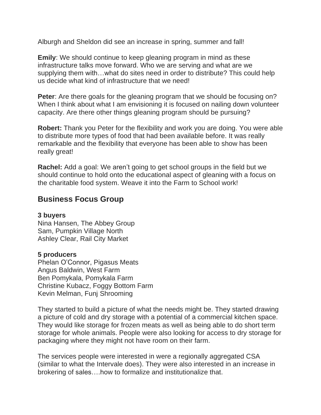Alburgh and Sheldon did see an increase in spring, summer and fall!

**Emily**: We should continue to keep gleaning program in mind as these infrastructure talks move forward. Who we are serving and what are we supplying them with…what do sites need in order to distribute? This could help us decide what kind of infrastructure that we need!

**Peter**: Are there goals for the gleaning program that we should be focusing on? When I think about what I am envisioning it is focused on nailing down volunteer capacity. Are there other things gleaning program should be pursuing?

**Robert:** Thank you Peter for the flexibility and work you are doing. You were able to distribute more types of food that had been available before. It was really remarkable and the flexibility that everyone has been able to show has been really great!

**Rachel:** Add a goal: We aren't going to get school groups in the field but we should continue to hold onto the educational aspect of gleaning with a focus on the charitable food system. Weave it into the Farm to School work!

# **Business Focus Group**

### **3 buyers**

Nina Hansen, The Abbey Group Sam, Pumpkin Village North Ashley Clear, Rail City Market

### **5 producers**

Phelan O'Connor, Pigasus Meats Angus Baldwin, West Farm Ben Pomykala, Pomykala Farm Christine Kubacz, Foggy Bottom Farm Kevin Melman, Funj Shrooming

They started to build a picture of what the needs might be. They started drawing a picture of cold and dry storage with a potential of a commercial kitchen space. They would like storage for frozen meats as well as being able to do short term storage for whole animals. People were also looking for access to dry storage for packaging where they might not have room on their farm.

The services people were interested in were a regionally aggregated CSA (similar to what the Intervale does). They were also interested in an increase in brokering of sales….how to formalize and institutionalize that.